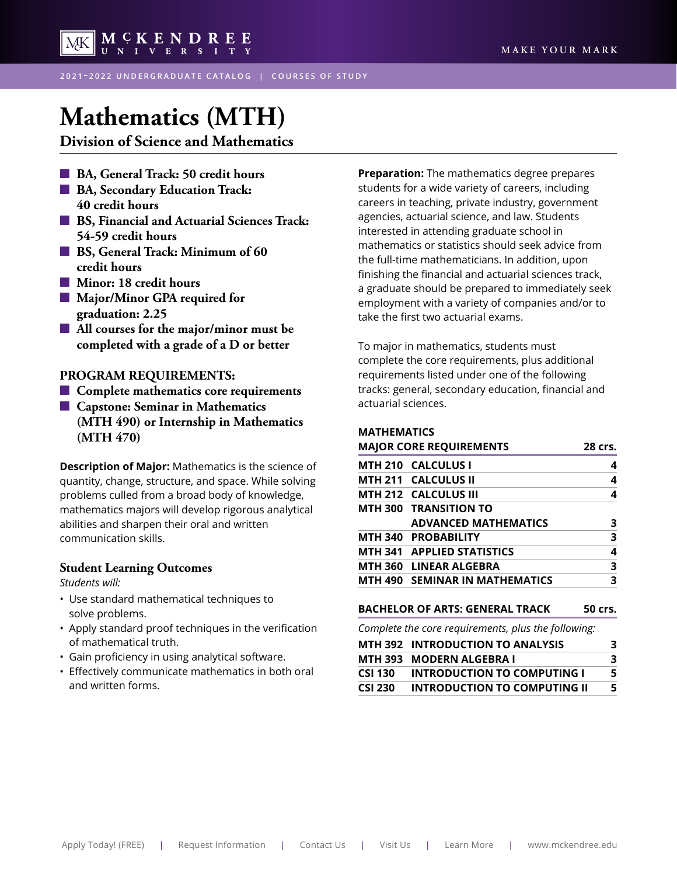

**2021 – 2022 UNDERGRADUATE CATALOG | COURSES OF STUDY**

# **[Mathematics \(MTH\)](#page-2-0)**

**Division of Science and Mathematics**

- $\blacksquare$  BA, General Track: 50 credit hours
- $\blacksquare$  **BA, Secondary Education Track: 40 credit hours**
- $\blacksquare$  **BS, Financial and Actuarial Sciences Track: 54-59 credit hours**
- $\blacksquare$  BS, General Track: Minimum of 60 **credit hours**
- n **Minor: 18 credit hours**
- Major/Minor GPA required for **graduation: 2.25**
- **All courses for the major/minor must be completed with a grade of a D or better**

#### **PROGRAM REQUIREMENTS:**

- **■ Complete mathematics core requirements**
- $\blacksquare$  Capstone: Seminar in Mathematics **(MTH 490) or Internship in Mathematics (MTH 470)**

**Description of Major:** Mathematics is the science of quantity, change, structure, and space. While solving problems culled from a broad body of knowledge, mathematics majors will develop rigorous analytical abilities and sharpen their oral and written communication skills.

#### **Student Learning Outcomes**

*Students will:*

- Use standard mathematical techniques to solve problems.
- Apply standard proof techniques in the verification of mathematical truth.
- Gain proficiency in using analytical software.
- Effectively communicate mathematics in both oral and written forms.

**Preparation:** The mathematics degree prepares students for a wide variety of careers, including careers in teaching, private industry, government agencies, actuarial science, and law. Students interested in attending graduate school in mathematics or statistics should seek advice from the full-time mathematicians. In addition, upon finishing the financial and actuarial sciences track, a graduate should be prepared to immediately seek employment with a variety of companies and/or to take the first two actuarial exams.

To major in mathematics, students must complete the core requirements, plus additional requirements listed under one of the following tracks: general, secondary education, financial and actuarial sciences.

#### **MATHEMATICS**

| <b>MAJOR CORE REQUIREMENTS</b> | 28 crs. |
|--------------------------------|---------|
| MTH 210 CALCULUS I             | 4       |
| MTH 211 CALCULUS II            | 4       |
| MTH 212 CALCULUS III           | 4       |
| <b>MTH 300 TRANSITION TO</b>   |         |
| <b>ADVANCED MATHEMATICS</b>    | з       |
| MTH 340 PROBABILITY            | 3       |
| MTH 341 APPLIED STATISTICS     | 4       |
| MTH 360 LINEAR ALGEBRA         | 3       |
| MTH 490 SEMINAR IN MATHEMATICS | 3       |
|                                |         |

#### **BACHELOR OF ARTS: GENERAL TRACK 50 crs.**

*Complete the core requirements, plus the following:*

|                | <b>MTH 392 INTRODUCTION TO ANALYSIS</b> | З |
|----------------|-----------------------------------------|---|
|                | MTH 393 MODERN ALGEBRA I                | 3 |
| <b>CSI 130</b> | INTRODUCTION TO COMPUTING I             | 5 |
| <b>CSI 230</b> | INTRODUCTION TO COMPUTING II            | 5 |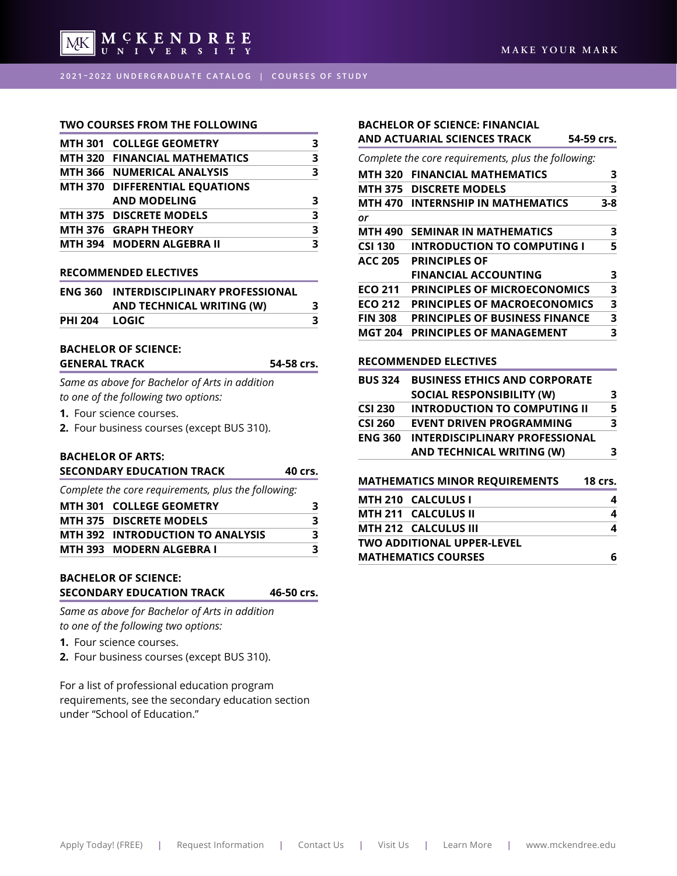

#### **TWO COURSES FROM THE FOLLOWING**

| <b>MTH 301 COLLEGE GEOMETRY</b>   |   |
|-----------------------------------|---|
| MTH 320 FINANCIAL MATHEMATICS     | 3 |
| <b>MTH 366 NUMERICAL ANALYSIS</b> | 3 |
| MTH 370 DIFFERENTIAL EQUATIONS    |   |
| <b>AND MODELING</b>               | З |
| <b>MTH 375 DISCRETE MODELS</b>    | З |
| MTH 376 GRAPH THEORY              | 3 |
| MTH 394 MODERN ALGEBRA II         |   |
|                                   |   |

#### **RECOMMENDED ELECTIVES**

| <b>ENG 360</b> | <b>INTERDISCIPLINARY PROFESSIONAL</b> |  |
|----------------|---------------------------------------|--|
|                | AND TECHNICAL WRITING (W)             |  |
| PHI 204        | LOGIC.                                |  |

#### **BACHELOR OF SCIENCE:**  GENERAL TRACK 54-58 crs.

*Same as above for Bachelor of Arts in addition to one of the following two options:*

**1.** Four science courses.

**2.** Four business courses (except BUS 310).

## **BACHELOR OF ARTS:**

| <b>SECONDARY EDUCATION TRACK</b>                    | 40 crs. |
|-----------------------------------------------------|---------|
| Complete the core requirements, plus the following: |         |
| MTH 301 COLLEGE GEOMETRY                            | З       |
| <b>MTH 375 DISCRETE MODELS</b>                      | 3       |
| MTH 392 INTRODUCTION TO ANALYSIS                    | 3       |
| MTH 393 MODERN ALGEBRA I                            | ર       |

#### **BACHELOR OF SCIENCE: SECONDARY EDUCATION TRACK 46-50 crs.**

*Same as above for Bachelor of Arts in addition to one of the following two options:*

**1.** Four science courses.

**2.** Four business courses (except BUS 310).

For a list of professional education program requirements, see the secondary education section under "School of Education."

## **BACHELOR OF SCIENCE: FINANCIAL**

## **AND ACTUARIAL SCIENCES TRACK 54-59 crs.**

*Complete the core requirements, plus the following:*

| <b>MTH 320</b> | <b>FINANCIAL MATHEMATICS</b>          | з       |
|----------------|---------------------------------------|---------|
| MTH 375        | <b>DISCRETE MODELS</b>                | 3       |
| MTH 470        | <b>INTERNSHIP IN MATHEMATICS</b>      | $3 - 8$ |
| or             |                                       |         |
| <b>MTH 490</b> | <b>SEMINAR IN MATHEMATICS</b>         | з       |
| <b>CSI 130</b> | <b>INTRODUCTION TO COMPUTING I</b>    | 5       |
| <b>ACC 205</b> | <b>PRINCIPLES OF</b>                  |         |
|                | <b>FINANCIAL ACCOUNTING</b>           | з       |
| <b>ECO 211</b> | <b>PRINCIPLES OF MICROECONOMICS</b>   | 3       |
| <b>ECO 212</b> | <b>PRINCIPLES OF MACROECONOMICS</b>   | 3       |
| <b>FIN 308</b> | <b>PRINCIPLES OF BUSINESS FINANCE</b> | 3       |
| <b>MGT 204</b> | <b>PRINCIPLES OF MANAGEMENT</b>       | 3       |

#### **RECOMMENDED ELECTIVES**

|                | <b>MATHEMATICS MINOR REQUIREMENTS</b><br>1.1711.240.211.011110.1 | <b>18 crs.</b> |
|----------------|------------------------------------------------------------------|----------------|
|                | AND TECHNICAL WRITING (W)                                        | 3              |
| <b>ENG 360</b> | <b>INTERDISCIPLINARY PROFESSIONAL</b>                            |                |
| <b>CSI 260</b> | <b>EVENT DRIVEN PROGRAMMING</b>                                  | 3              |
| <b>CSI 230</b> | <b>INTRODUCTION TO COMPUTING II</b>                              | 5              |
|                | <b>SOCIAL RESPONSIBILITY (W)</b>                                 | 3              |
| <b>BUS 324</b> | <b>BUSINESS ETHICS AND CORPORATE</b>                             |                |
|                |                                                                  |                |

| MIH 210 CALCULUS I         |  |
|----------------------------|--|
| MTH 211   CALCULUS II      |  |
| MTH 212 CALCULUS III       |  |
| TWO ADDITIONAL UPPER-LEVEL |  |
| <b>MATHEMATICS COURSES</b> |  |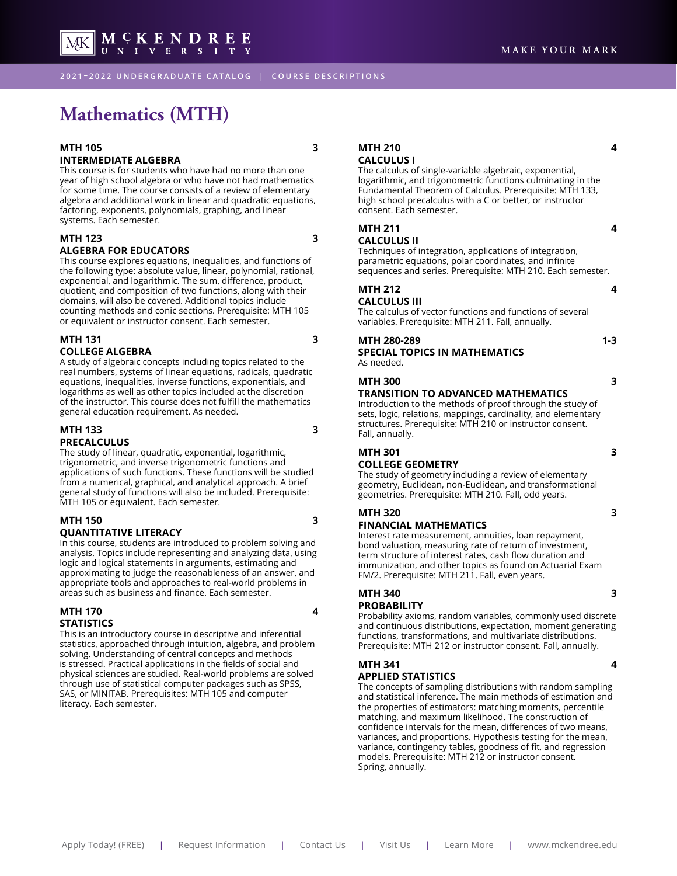<span id="page-2-0"></span>MCKENDREE MK |

**2021 – 2022 UNDERGRADUATE CATALOG | COURSE DESCRIPTIONS**

## **Mathematics (MTH)**

#### **MTH 105** 3 **INTERMEDIATE ALGEBRA**

This course is for students who have had no more than one year of high school algebra or who have not had mathematics for some time. The course consists of a review of elementary algebra and additional work in linear and quadratic equations, factoring, exponents, polynomials, graphing, and linear systems. Each semester.

## **MTH 123 3**

#### **ALGEBRA FOR EDUCATORS**

This course explores equations, inequalities, and functions of the following type: absolute value, linear, polynomial, rational, exponential, and logarithmic. The sum, difference, product, quotient, and composition of two functions, along with their domains, will also be covered. Additional topics include counting methods and conic sections. Prerequisite: MTH 105 or equivalent or instructor consent. Each semester.

#### **MTH 131** 3 **COLLEGE ALGEBRA**

A study of algebraic concepts including topics related to the real numbers, systems of linear equations, radicals, quadratic equations, inequalities, inverse functions, exponentials, and logarithms as well as other topics included at the discretion of the instructor. This course does not fulfill the mathematics general education requirement. As needed.

#### **MTH 133 3 PRECALCULUS**

The study of linear, quadratic, exponential, logarithmic, trigonometric, and inverse trigonometric functions and applications of such functions. These functions will be studied from a numerical, graphical, and analytical approach. A brief general study of functions will also be included. Prerequisite: MTH 105 or equivalent. Each semester.

#### **MTH 150** 3 **QUANTITATIVE LITERACY**

In this course, students are introduced to problem solving and analysis. Topics include representing and analyzing data, using logic and logical statements in arguments, estimating and approximating to judge the reasonableness of an answer, and appropriate tools and approaches to real-world problems in areas such as business and finance. Each semester.

#### **MTH 170 4 STATISTICS**

This is an introductory course in descriptive and inferential statistics, approached through intuition, algebra, and problem solving. Understanding of central concepts and methods is stressed. Practical applications in the fields of social and physical sciences are studied. Real-world problems are solved through use of statistical computer packages such as SPSS, SAS, or MINITAB. Prerequisites: MTH 105 and computer literacy. Each semester.

**MTH 210 4 CALCULUS I**

The calculus of single-variable algebraic, exponential, logarithmic, and trigonometric functions culminating in the Fundamental Theorem of Calculus. Prerequisite: MTH 133, high school precalculus with a C or better, or instructor consent. Each semester.

#### **MTH 211** 4 **CALCULUS II**

Techniques of integration, applications of integration, parametric equations, polar coordinates, and infinite sequences and series. Prerequisite: MTH 210. Each semester.

#### **MTH 212 4 CALCULUS III**

The calculus of vector functions and functions of several variables. Prerequisite: MTH 211. Fall, annually.

#### **MTH 280-289** 1-3 **SPECIAL TOPICS IN MATHEMATICS** As needed.

#### **MTH 300** 3

#### **TRANSITION TO ADVANCED MATHEMATICS**

Introduction to the methods of proof through the study of sets, logic, relations, mappings, cardinality, and elementary structures. Prerequisite: MTH 210 or instructor consent. Fall, annually.

#### **MTH 301** 3 **COLLEGE GEOMETRY**

The study of geometry including a review of elementary geometry, Euclidean, non-Euclidean, and transformational geometries. Prerequisite: MTH 210. Fall, odd years.

#### **MTH 320** 3

#### **FINANCIAL MATHEMATICS**

Interest rate measurement, annuities, loan repayment, bond valuation, measuring rate of return of investment, term structure of interest rates, cash flow duration and immunization, and other topics as found on Actuarial Exam FM/2. Prerequisite: MTH 211. Fall, even years.

## **MTH 340** 3

#### **PROBABILITY**

Probability axioms, random variables, commonly used discrete and continuous distributions, expectation, moment generating functions, transformations, and multivariate distributions. Prerequisite: MTH 212 or instructor consent. Fall, annually.

#### **MTH 341** 4 **APPLIED STATISTICS**

The concepts of sampling distributions with random sampling and statistical inference. The main methods of estimation and the properties of estimators: matching moments, percentile matching, and maximum likelihood. The construction of confidence intervals for the mean, differences of two means, variances, and proportions. Hypothesis testing for the mean, variance, contingency tables, goodness of fit, and regression models. Prerequisite: MTH 212 or instructor consent. Spring, annually.